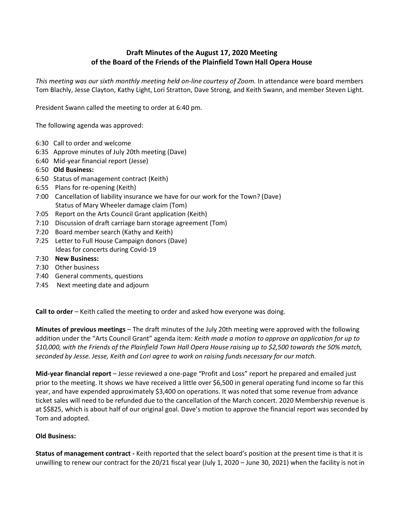## **Draft Minutes of the August 17, 2020 Meeting of the Board of the Friends of the Plainfield Town Hall Opera House**

*This meeting was our sixth monthly meeting held on-line courtesy of Zoom.* In attendance were board members Tom Blachly, Jesse Clayton, Kathy Light, Lori Stratton, Dave Strong, and Keith Swann, and member Steven Light.

President Swann called the meeting to order at 6:40 pm.

The following agenda was approved:

- 6:30 Call to order and welcome
- 6:35 Approve minutes of July 20th meeting (Dave)
- 6:40 Mid-year financial report (Jesse)
- 6:50 **Old Business:**
- 6:50 Status of management contract (Keith)
- 6:55 Plans for re-opening (Keith)
- 7:00 Cancellation of liability insurance we have for our work for the Town? (Dave) Status of Mary Wheeler damage claim (Tom)
- 7:05 Report on the Arts Council Grant application (Keith)
- 7:10 Discussion of draft carriage barn storage agreement (Tom)
- 7:20 Board member search (Kathy and Keith)
- 7:25 Letter to Full House Campaign donors (Dave) Ideas for concerts during Covid-19
- 7:30 **New Business:**
- 7:30 Other business
- 7:40 General comments, questions
- 7:45 Next meeting date and adjourn

**Call to order** – Keith called the meeting to order and asked how everyone was doing.

**Minutes of previous meetings** – The draft minutes of the July 20th meeting were approved with the following addition under the "Arts Council Grant" agenda item: *Keith made a motion to approve an application for up to \$10,000, with the Friends of the Plainfield Town Hall Opera House raising up to \$2,500 towards the 50% match, seconded by Jesse. Jesse, Keith and Lori agree to work on raising funds necessary for our match.*

**Mid-year financial report** – Jesse reviewed a one-page "Profit and Loss" report he prepared and emailed just prior to the meeting. It shows we have received a little over \$6,500 in general operating fund income so far this year, and have expended approximately \$3,400 on operations. It was noted that some revenue from advance ticket sales will need to be refunded due to the cancellation of the March concert. 2020 Membership revenue is at \$\$825, which is about half of our original goal. Dave's motion to approve the financial report was seconded by Tom and adopted.

## **Old Business:**

**Status of management contract -** Keith reported that the select board's position at the present time is that it is unwilling to renew our contract for the 20/21 fiscal year (July 1, 2020 – June 30, 2021) when the facility is not in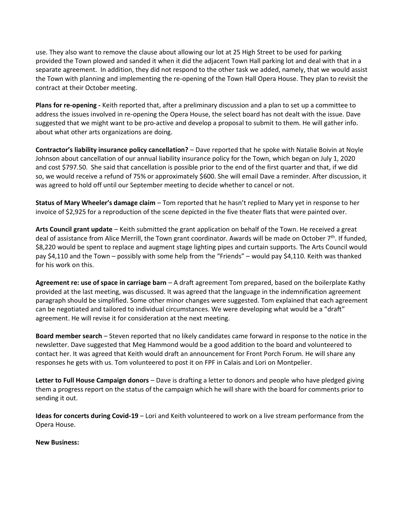use. They also want to remove the clause about allowing our lot at 25 High Street to be used for parking provided the Town plowed and sanded it when it did the adjacent Town Hall parking lot and deal with that in a separate agreement. In addition, they did not respond to the other task we added, namely, that we would assist the Town with planning and implementing the re-opening of the Town Hall Opera House. They plan to revisit the contract at their October meeting.

**Plans for re-opening -** Keith reported that, after a preliminary discussion and a plan to set up a committee to address the issues involved in re-opening the Opera House, the select board has not dealt with the issue. Dave suggested that we might want to be pro-active and develop a proposal to submit to them. He will gather info. about what other arts organizations are doing.

**Contractor's liability insurance policy cancellation?** – Dave reported that he spoke with Natalie Boivin at Noyle Johnson about cancellation of our annual liability insurance policy for the Town, which began on July 1, 2020 and cost \$797.50. She said that cancellation is possible prior to the end of the first quarter and that, if we did so, we would receive a refund of 75% or approximately \$600. She will email Dave a reminder. After discussion, it was agreed to hold off until our September meeting to decide whether to cancel or not.

**Status of Mary Wheeler's damage claim** – Tom reported that he hasn't replied to Mary yet in response to her invoice of \$2,925 for a reproduction of the scene depicted in the five theater flats that were painted over.

**Arts Council grant update** – Keith submitted the grant application on behalf of the Town. He received a great deal of assistance from Alice Merrill, the Town grant coordinator. Awards will be made on October 7<sup>th</sup>. If funded, \$8,220 would be spent to replace and augment stage lighting pipes and curtain supports. The Arts Council would pay \$4,110 and the Town – possibly with some help from the "Friends" – would pay \$4,110. Keith was thanked for his work on this.

**Agreement re: use of space in carriage barn** – A draft agreement Tom prepared, based on the boilerplate Kathy provided at the last meeting, was discussed. It was agreed that the language in the indemnification agreement paragraph should be simplified. Some other minor changes were suggested. Tom explained that each agreement can be negotiated and tailored to individual circumstances. We were developing what would be a "draft" agreement. He will revise it for consideration at the next meeting.

**Board member search** – Steven reported that no likely candidates came forward in response to the notice in the newsletter. Dave suggested that Meg Hammond would be a good addition to the board and volunteered to contact her. It was agreed that Keith would draft an announcement for Front Porch Forum. He will share any responses he gets with us. Tom volunteered to post it on FPF in Calais and Lori on Montpelier.

**Letter to Full House Campaign donors** – Dave is drafting a letter to donors and people who have pledged giving them a progress report on the status of the campaign which he will share with the board for comments prior to sending it out.

**Ideas for concerts during Covid-19** – Lori and Keith volunteered to work on a live stream performance from the Opera House.

**New Business:**